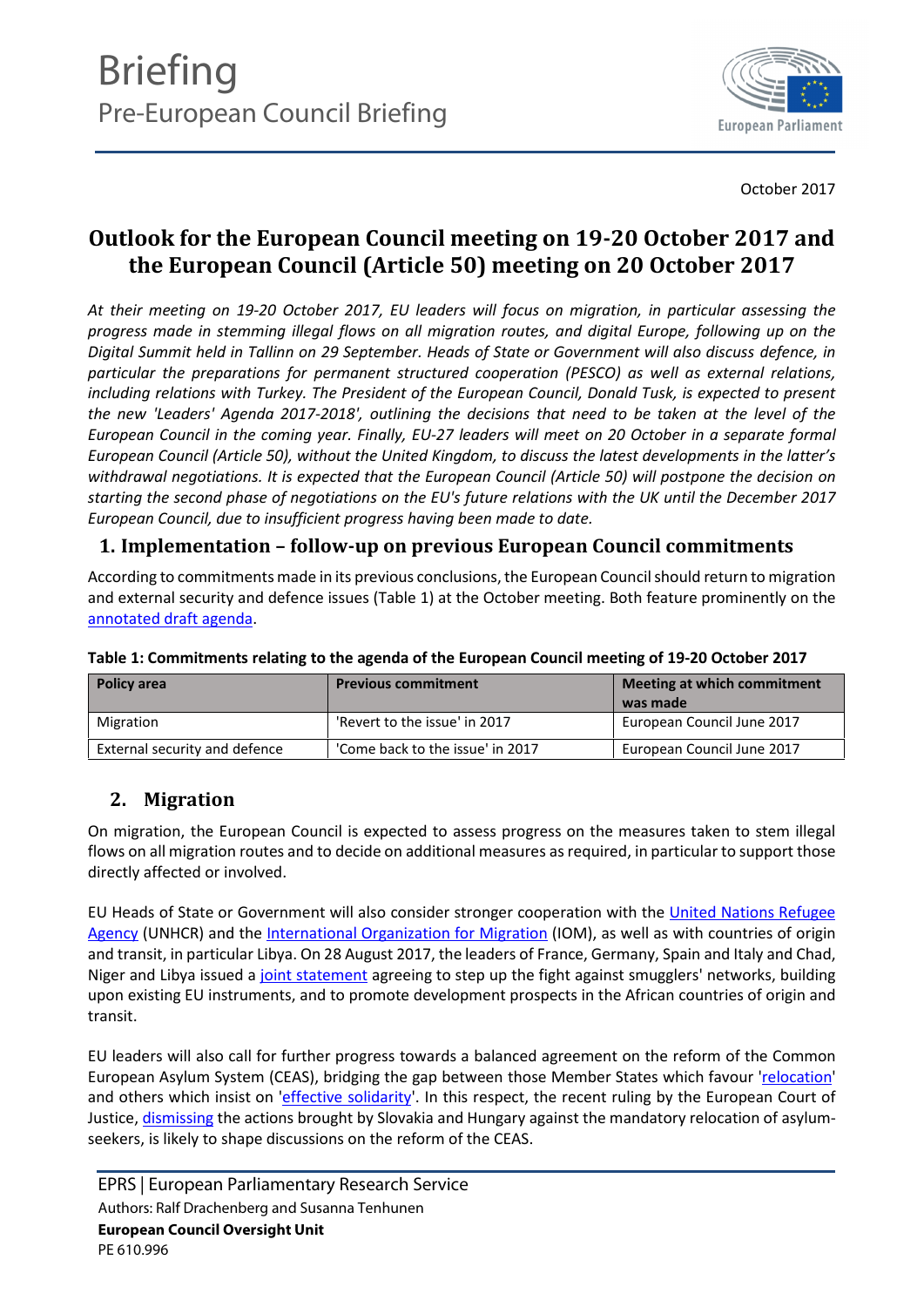

October 2017

# **Outlook for the European Council meeting on 19-20 October 2017 and the European Council (Article 50) meeting on 20 October 2017**

*At their meeting on 19-20 October 2017, EU leaders will focus on migration, in particular assessing the progress made in stemming illegal flows on all migration routes, and digital Europe, following up on the Digital Summit held in Tallinn on 29 September. Heads of State or Government will also discuss defence, in particular the preparations for permanent structured cooperation (PESCO) as well as external relations, including relations with Turkey. The President of the European Council, Donald Tusk, is expected to present the new 'Leaders' Agenda 2017-2018', outlining the decisions that need to be taken at the level of the European Council in the coming year. Finally, EU-27 leaders will meet on 20 October in a separate formal European Council (Article 50), without the United Kingdom, to discuss the latest developments in the latter's withdrawal negotiations. It is expected that the European Council (Article 50) will postpone the decision on starting the second phase of negotiations on the EU's future relations with the UK until the December 2017 European Council, due to insufficient progress having been made to date.*

### **1. Implementation –follow-up on previous European Council commitments**

According to commitmentsmade in its previous conclusions, the European Council should return to migration and external security and defence issues (Table 1) at the October meeting. Both feature prominently on the [annotated draft agenda.](http://www.consilium.europa.eu/en/meetings/european-council/2017/10/ST_11567_2017_INIT_EN_pdf/)

| <b>Policy area</b>            | <b>Previous commitment</b>       | Meeting at which commitment<br>was made |
|-------------------------------|----------------------------------|-----------------------------------------|
| Migration                     | 'Revert to the issue' in 2017    | European Council June 2017              |
| External security and defence | 'Come back to the issue' in 2017 | European Council June 2017              |

#### **Table 1: Commitments relating to the agenda of the European Council meeting of 19-20 October 2017**

## **2. Migration**

On migration, the European Council is expected to assess progress on the measures taken to stem illegal flows on all migration routes and to decide on additional measures asrequired, in particular to support those directly affected or involved.

EU Heads of State or Government will also consider stronger cooperation with the [United Nations Refugee](http://www.unhcr.org/) [Agency](http://www.unhcr.org/) (UNHCR) and the [International Organization for Migration](http://belgium.iom.int/) (IOM), as well as with countries of origin and transit, in particular Libya. On 28 August 2017, the leaders of France, Germany, Spain and Italy and Chad, Niger and Libya issued a [joint statement](https://m.bundesregierung.de/Content/DE/_Anlagen/2017/08/2017-08-28-statement-refugee-migration-english.pdf?__blob=publicationFile&v=1) agreeing to step up the fight against smugglers' networks, building upon existing EU instruments, and to promote development prospects in the African countries of origin and transit.

EU leaders will also call for further progress towards a balanced agreement on the reform of the Common European Asylum System (CEAS), bridging the gap between those Member States which favour '[relocation](http://eur-lex.europa.eu/legal-content/EN/TXT/?uri=celex%3A32015D1601)' and others which insist on '[effective solidarity](http://www.statewatch.org/news/2016/nov/eu-council-slovak-pres-non-paper-dublin-effective-solidarity-11-16.pdf)'. In this respect, the recent ruling by the European Court of Justice, [dismissing](https://curia.europa.eu/jcms/upload/docs/application/pdf/2017-09/cp170091en.pdf) the actions brought by Slovakia and Hungary against the mandatory relocation of asylumseekers, is likely to shape discussions on the reform of the CEAS.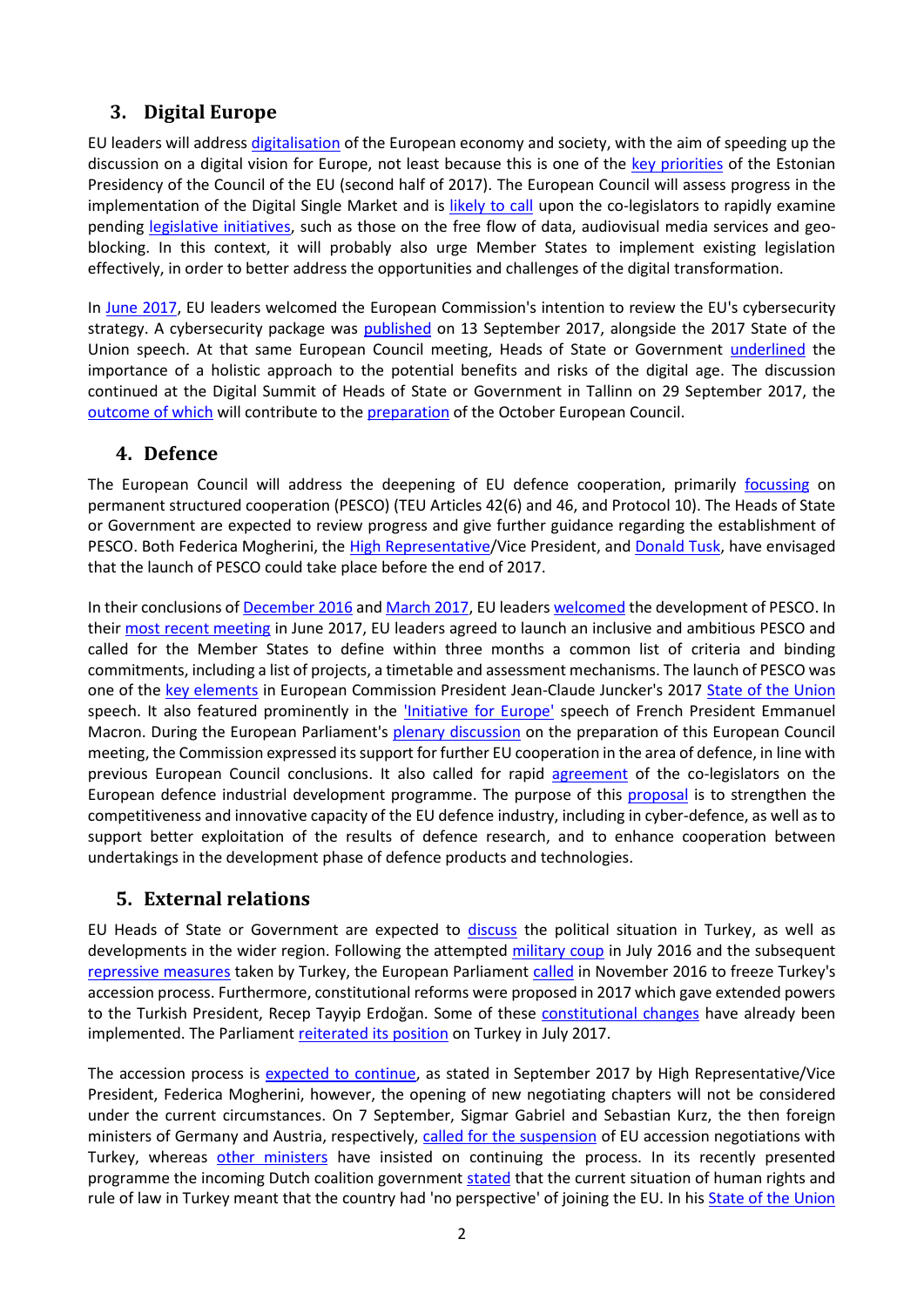## **3. Digital Europe**

EU leaders will address [digitalisation](http://www.consilium.europa.eu/en/meetings/european-council/2017/10/19-20/) of the European economy and society, with the aim of speeding up the discussion on a digital vision for Europe, not least because this is one of the [key priorities](https://www.eu2017.ee/priorities-estonian-presidency) of the Estonian Presidency of the Council of the EU (second half of 2017). The European Council will assess progress in the implementation of the Digital Single Market and is [likely to call](http://www.politico.eu/pro/draft-european-council-conclusions-retract-digital-tax-ambitions/?utm_source=POLITICO.EU&utm_campaign=a4144edf5a-EMAIL_CAMPAIGN_2017_10_11&utm_medium=email&utm_term=0_10959edeb5-a4144edf5a-189753173) upon the co-legislators to rapidly examine pending [legislative initiatives,](http://www.europarl.europa.eu/plenary/EN/vod.html?mode=unit&vodLanguage=EN&vodId=1507100904777) such as those on the free flow of data, audiovisual media services and geoblocking. In this context, it will probably also urge Member States to implement existing legislation effectively, in order to better address the opportunities and challenges of the digital transformation.

In [June 2017](http://www.europarl.europa.eu/RegData/etudes/BRIE/2017/603250/EPRS_BRI%282017%29603250_EN.pdf), EU leaders welcomed the European Commission's intention to review the EU's cybersecurity strategy. A cybersecurity package was [published](http://europa.eu/rapid/press-release_IP-17-3193_en) on 13 September 2017, alongside the 2017 State of the Union speech. At that same European Council meeting, Heads of State or Government [underlined](http://data.consilium.europa.eu/doc/document/ST-8-2017-INIT/en/pdf) the importance of a holistic approach to the potential benefits and risks of the digital age. The discussion continued at the Digital Summit of Heads of State or Government in Tallinn on 29 September 2017, the [outcome](https://www.eu2017.ee/sites/default/files/inline-files/TallinnDigitalSummit_Conclusions_0.pdf) of which will contribute to the [preparation](http://www.consilium.europa.eu/en/press/press-releases/2017/09/29-tusk-press-conference-tallinn/) of the October European Council.

### **4. Defence**

The European Council will address the deepening of EU defence cooperation, primarily [focussing](http://www.consilium.europa.eu/en/meetings/european-council/2017/10/ST_11567_2017_INIT_EN_pdf/) on permanent structured cooperation (PESCO) (TEU Articles 42(6) and 46, and Protocol 10). The Heads of State or Government are expected to review progress and give further guidance regarding the establishment of PESCO. Both Federica Mogherini, the [High Representative](https://eeas.europa.eu/headquarters/headquarters-homepage_en/31832/Permanent Structured Cooperation on defence could be launched by end 2017)/Vice President, and [Donald Tusk,](http://www.consilium.europa.eu/press-releases-pdf/2017/9/47244664824_en.pdf) have envisaged that the launch of PESCO could take place before the end of 2017.

In their conclusions of [December 2016](http://data.consilium.europa.eu/doc/document/ST-34-2016-INIT/en/pdf) and [March 2017,](http://www.consilium.europa.eu/en/press/press-releases/2017/03/09-conclusion-pec/) EU leaders [welcomed](http://www.europarl.europa.eu/RegData/etudes/BRIE/2016/593795/EPRS_BRI%282016%29593795_EN.pdf) the development of PESCO. In their [most recent meeting](http://data.consilium.europa.eu/doc/document/ST-8-2017-INIT/en/pdf) in June 2017, EU leaders agreed to launch an inclusive and ambitious PESCO and called for the Member States to define within three months a common list of criteria and binding commitments, including a list of projects, a timetable and assessment mechanisms. The launch of PESCO was one of the [key elements](https://ec.europa.eu/epsc/sites/epsc/files/epsc_-_two_visions_one_direction_-_plans_for_the_future_of_europe.pdf) in European Commission President Jean-Claude Juncker's 2017 [State of the Union](https://ec.europa.eu/commission/state-union-2017_en) speech. It also featured prominently in the ['Initiative for Europe'](http://www.diplomatie.gouv.fr/en/french-foreign-policy/european-union/events/article/president-macron-s-initiative-for-europe-a-sovereign-united-democratic-europe) speech of French President Emmanuel Macron. During the European Parliament's [plenary discussion](http://www.europarl.europa.eu/ep-live/en/plenary/video?debate=1507100900596&streamingLanguage=en) on the preparation of this European Council meeting, the Commission expressed its support for further EU cooperation in the area of defence, in line with previous European Council conclusions. It also called for rapid [agreement](http://www.europarl.europa.eu/legislative-train/theme-europe-as-a-stronger-global-actor/file-european-defence-industrial-development-programme) of the co-legislators on the European defence industrial development programme. The purpose of this [proposal](http://eur-lex.europa.eu/legal-content/EN/TXT/?qid=1497008728600&uri=CELEX:52017PC0294) is to strengthen the competitiveness and innovative capacity of the EU defence industry, including in cyber-defence, as well as to support better exploitation of the results of defence research, and to enhance cooperation between undertakings in the development phase of defence products and technologies.

### **5. External relations**

EU Heads of State or Government are expected to [discuss](http://www.consilium.europa.eu/en/press/press-releases/2017/09/21-tusk-letter-tallinn/) the political situation in Turkey, as well as developments in the wider region. Following the attempted [military coup](http://www.europarl.europa.eu/RegData/etudes/BRIE/2017/599388/EPRS_BRI%282017%29599388_EN.pdf) in July 2016 and the subsequent [repressive measures](https://epthinktank.eu/2016/09/22/turkey-since-the-failed-july-2016-coup/arrested-people-turkey_5_final_gw/) taken by Turkey, the European Parliament [called](http://www.europarl.europa.eu/sides/getDoc.do?pubRef=-//EP//TEXT+TA+P8-TA-2016-0450+0+DOC+XML+V0//EN) in November 2016 to freeze Turkey's accession process. Furthermore, constitutional reforms were proposed in 2017 which gave extended powers to the Turkish President, Recep Tayyip Erdoğan. Some of these [constitutional changes](https://www.reuters.com/article/us-turkey-eu-parliament/eu-parliament-calls-for-turkey-accession-talks-to-be-suspended-idUSKBN19R194) have already been implemented. The Parliament [reiterated its position](http://www.europarl.europa.eu/oeil/popups/summary.do?id=1497554&t=d&l=en) on Turkey in July 2017.

The accession process is [expected to continue](https://eeas.europa.eu/headquarters/headquarters-homepage/31635/speech-high-representativevice-president-federica-mogherini-2017-bled-strategic-forum_fr), as stated in September 2017 by High Representative/Vice President, Federica Mogherini, however, the opening of new negotiating chapters will not be considered under the current circumstances. On 7 September, Sigmar Gabriel and Sebastian Kurz, the then foreign ministers of Germany and Austria, respectively, [called for the suspension](https://euobserver.com/enlargement/138936) of EU accession negotiations with Turkey, whereas [other ministers](http://www.dw.com/en/turkey-eu-relations-which-countries-are-for-or-against-turkish-accession/a-40381533) have insisted on continuing the process. In its recently presented programme the incoming Dutch coalition government [stated](https://euobserver.com/elections/139370) that the current situation of human rights and rule of law in Turkey meant that the country had 'no perspective' of joining the EU. In his **[State of the Union](http://europa.eu/rapid/press-release_SPEECH-17-3165_en.htm)**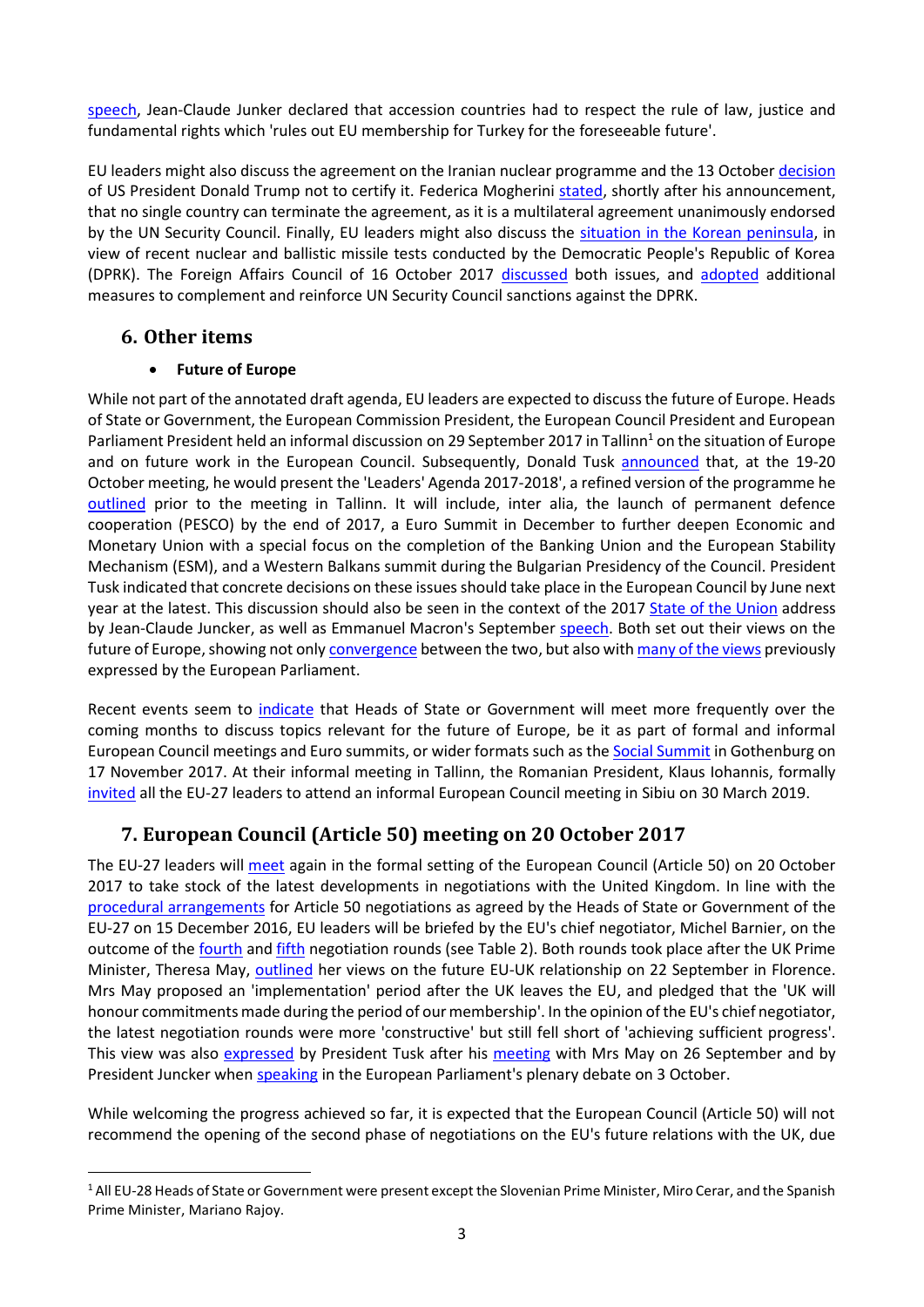[speech](http://europa.eu/rapid/press-release_SPEECH-17-3165_en.htm), Jean-Claude Junker declared that accession countries had to respect the rule of law, justice and fundamental rights which 'rules out EU membership for Turkey for the foreseeable future'.

EU leaders might also discuss the agreement on the Iranian nuclear programme and the 13 October [decision](https://www.reuters.com/article/us-iran-nuclear-usa/trump-strikes-blow-at-iran-nuclear-deal-in-major-u-s-policy-shift-idUSKBN1CI24I) of US President Donald Trump not to certify it. Federica Mogherini [stated,](http://www.politico.eu/article/federica-mogherini-donald-trump-iran-eu-us-has-no-right-to-terminate-iran-accord/) shortly after his announcement, that no single country can terminate the agreement, as it is a multilateral agreement unanimously endorsed by the UN Security Council. Finally, EU leaders might also discuss the situation [in the Korean peninsula,](http://www.consilium.europa.eu/en/policies/sanctions/history-north-korea/) in view of recent nuclear and ballistic missile tests conducted by the Democratic People's Republic of Korea (DPRK). The Foreign Affairs Council of 16 October 2017 [discussed](http://dsms.consilium.europa.eu/952/Actions/Newsletter.aspx?messageid=16064&customerid=32779&password=enc_70743543416A375733713445_enc) both issues, and [adopted](http://dsms.consilium.europa.eu/952/Actions/Newsletter.aspx?messageid=16099&customerid=32779&password=enc_70743543416A375733713445_enc) additional measures to complement and reinforce UN Security Council sanctions against the DPRK.

#### **6. Other items**

#### **Future of Europe**

While not part of the annotated draft agenda, EU leaders are expected to discussthe future of Europe. Heads of State or Government, the European Commission President, the European Council President and European Parliament President held an informal discussion on 29 September 2017 in Tallinn<sup>1</sup> on the situation of Europe and on future work in the European Council. Subsequently, Donald Tusk [announced](http://www.consilium.europa.eu/en/press/press-releases/2017/09/29-tusk-press-conference-tallinn/) that, at the 19-20 October meeting, he would present the 'Leaders' Agenda 2017-2018', a refined version of the programme he [outlined](http://www.consilium.europa.eu/en/press/press-releases/2017/09/21-tusk-letter-tallinn/) prior to the meeting in Tallinn. It will include, inter alia, the launch of permanent defence cooperation (PESCO) by the end of 2017, a Euro Summit in December to further deepen Economic and Monetary Union with a special focus on the completion of the Banking Union and the European Stability Mechanism (ESM), and a Western Balkans summit during the Bulgarian Presidency of the Council. President Tusk indicated that concrete decisions on these issuesshould take place in the European Council by June next year at the latest. This discussion should also be seen in the context of the 2017 [State of the Union](http://www.europarl.europa.eu/ep-live/en/plenary/video?date=0&debate=1505286187733&intervention=0&streamingLanguage=en) address by Jean-Claude Juncker, as well as Emmanuel Macron's September [speech.](http://www.elysee.fr/declarations/article/initiative-pour-l-europe-discours-d-emmanuel-macron-pour-une-europe-souveraine-unie-democratique/) Both set out their views on the future of Europe, showing not only **[convergence](http://g8fip1kplyr33r3krz5b97d1.wpengine.netdna-cdn.com/wp-content/uploads/2017/09/EPSC_TwoVisionsOneDirection.pdf)** between the two, but also with [many of the views](http://www.europarl.europa.eu/thinktank/en/document.html?reference=EPRS_BRI(2017)610993) previously expressed by the European Parliament.

Recent events seem to [indicate](chttps://ec.europa.eu/commission/sites/beta-political/files/roadmap-factsheet-tallinn_en.pdf) that Heads of State or Government will meet more frequently over the coming months to discuss topics relevant for the future of Europe, be it as part of formal and informal European Council meetings and Euro summits, or wider formats such as the [Social Summit](http://www.government.se/government-policy/social-summit-for-fair-jobs-and-growth/) in Gothenburg on 17 November 2017. At their informal meeting in Tallinn, the Romanian President, Klaus Iohannis, formally [invited](http://www.politico.eu/article/talk-of-tallinn-empty-except-for-the-calories/?utm_source=POLITICO.EU&utm_campaign=6609af524e-EMAIL_CAMPAIGN_2017_09_29&utm_medium=email&utm_term=0_10959edeb5-6609af524e-189688461) all the EU-27 leaders to attend an informal European Council meeting in Sibiu on 30 March 2019.

## **7. European Council (Article 50) meeting on 20 October 2017**

The EU-27 leaders will [meet](http://www.consilium.europa.eu/en/meetings/european-council/2017/10/19-20/) again in the formal setting of the European Council (Article 50) on 20 October 2017 to take stock of the latest developments in negotiations with the United Kingdom. In line with the [procedural arrangements](http://www.consilium.europa.eu/en/meetings/european-council/2016/12/20161215-statement-informal-meeting-27_pdf/) for Article 50 negotiations as agreed by the Heads of State or Government of the EU-27 on 15 December 2016, EU leaders will be briefed by the EU's chief negotiator, Michel Barnier, on the outcome of the [fourth](http://www.eprs.sso.ep.parl.union.eu/filerep/09-Briefings/2017/EPRS-AaG-608718-State-of-play-negotiations-UK-FINAL.pdf) and [fifth](https://ec.europa.eu/commission/sites/beta-political/files/agenda_5th_round.pdf) negotiation rounds (see Table 2). Both rounds took place after the UK Prime Minister, Theresa May, [outlined](https://www.gov.uk/government/speeches/pms-florence-speech-a-new-era-of-cooperation-and-partnership-between-the-uk-and-the-eu) her views on the future EU-UK relationship on 22 September in Florence. Mrs May proposed an 'implementation' period after the UK leaves the EU, and pledged that the 'UK will honour commitments made during the period of our membership'. In the opinion of the EU's chief negotiator, the latest negotiation rounds were more 'constructive' but still fell short of 'achieving sufficient progress'. This view was also [expressed](http://www.consilium.europa.eu/en/press/press-releases/2017/09/26-tusk-remarks-may-london/?utm_source=dsms-auto&utm_medium=email&utm_campaign=Remarks+by+President+Donald+Tusk+after+his+meeting+with+Prime+Minister+of+the+United+Kingdom+Theresa+May) by President Tusk after his [meeting](http://www.consilium.europa.eu/en/press/press-releases/2017/09/26-tusk-remarks-may-london/?utm_source=dsms-auto&utm_medium=email&utm_campaign=Remarks+by+President+Donald+Tusk+after+his+meeting+with+Prime+Minister+of+the+United+Kingdom+Theresa+May) with Mrs May on 26 September and by President Juncker when [speaking](https://ec.europa.eu/avservices/video/player.cfm?ref=I144559) in the European Parliament's plenary debate on 3 October.

While welcoming the progress achieved so far, it is expected that the European Council (Article 50) will not recommend the opening of the second phase of negotiations on the EU's future relations with the UK, due

<sup>&</sup>lt;sup>1</sup> All EU-28 Heads of State or Government were present except the Slovenian Prime Minister, Miro Cerar, and the Spanish Prime Minister, Mariano Rajoy.